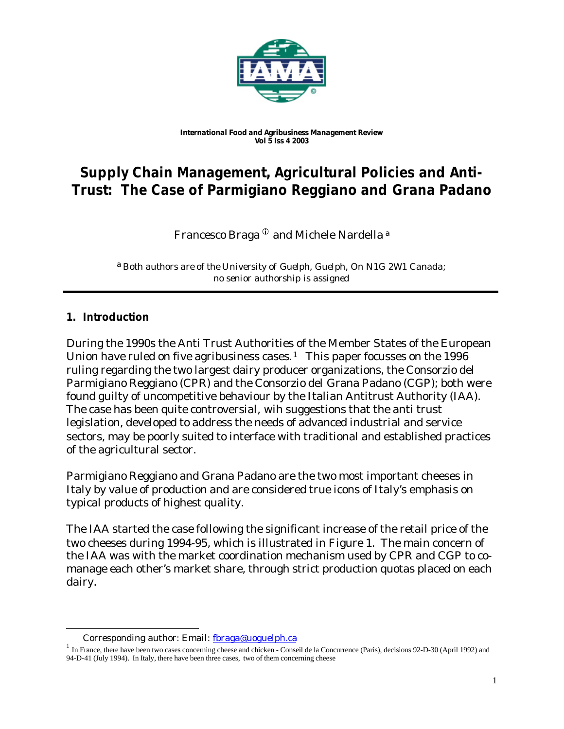

#### *International Food and Agribusiness Management Review Vol 5 Iss 4 2003*

# **Supply Chain Management, Agricultural Policies and Anti-Trust: The Case of Parmigiano Reggiano and Grana Padano**

Francesco Braga<sup> $\Phi$ </sup> and Michele Nardella<sup>a</sup>

a *Both authors are of the University of Guelph, Guelph, On N1G 2W1 Canada; no senior authorship is assigned*

### **1. Introduction**

l

During the 1990s the Anti Trust Authorities of the Member States of the European Union have ruled on five agribusiness cases.<sup>1</sup> This paper focusses on the 1996 ruling regarding the two largest dairy producer organizations, the Consorzio del Parmigiano Reggiano (CPR) and the Consorzio del Grana Padano (CGP); both were found guilty of uncompetitive behaviour by the Italian Antitrust Authority (IAA). The case has been quite controversial, wih suggestions that the anti trust legislation, developed to address the needs of advanced industrial and service sectors, may be poorly suited to interface with traditional and established practices of the agricultural sector.

Parmigiano Reggiano and Grana Padano are the two most important cheeses in Italy by value of production and are considered true icons of Italy's emphasis on typical products of highest quality.

The IAA started the case following the significant increase of the retail price of the two cheeses during 1994-95, which is illustrated in Figure 1. The main concern of the IAA was with the market coordination mechanism used by CPR and CGP to comanage each other's market share, through strict production quotas placed on each dairy.

Corresponding author: Email: fbraga@uoguelph.ca

<sup>&</sup>lt;sup>1</sup> In France, there have been two cases concerning cheese and chicken - Conseil de la Concurrence (Paris), decisions 92-D-30 (April 1992) and 94-D-41 (July 1994). In Italy, there have been three cases, two of them concerning cheese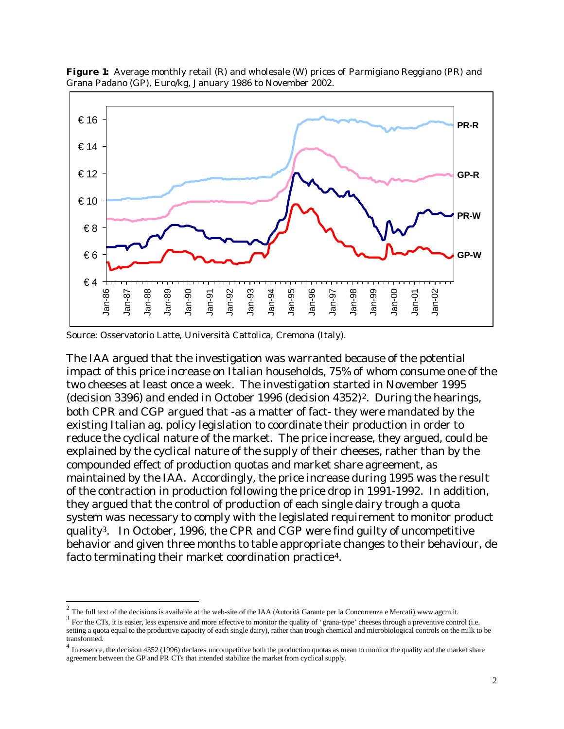

**Figure 1:** Average monthly retail (R) and wholesale (W) prices of Parmigiano Reggiano (PR) and Grana Padano (GP), Euro/kg, January 1986 to November 2002.

Source: Osservatorio Latte, Università Cattolica, Cremona (Italy).

l

The IAA argued that the investigation was warranted because of the potential impact of this price increase on Italian households, 75% of whom consume one of the two cheeses at least once a week. The investigation started in November 1995 (decision 3396) and ended in October 1996 (decision 4352)<sup>2</sup>. During the hearings, both CPR and CGP argued that -as a matter of fact- they were mandated by the existing Italian ag. policy legislation to coordinate their production in order to reduce the cyclical nature of the market. The price increase, they argued, could be explained by the cyclical nature of the supply of their cheeses, rather than by the compounded effect of production quotas and market share agreement, as maintained by the IAA. Accordingly, the price increase during 1995 was the result of the contraction in production following the price drop in 1991-1992. In addition, they argued that the control of production of each single dairy trough a quota system was necessary to comply with the legislated requirement to monitor product quality3. In October, 1996, the CPR and CGP were find guilty of uncompetitive behavior and given three months to table appropriate changes to their behaviour, de facto terminating their market coordination practice4.

<sup>&</sup>lt;sup>2</sup> The full text of the decisions is available at the web-site of the IAA (Autorità Garante per la Concorrenza e Mercati) www.agcm.it.

 $3 \text{ For the CTs, it is easier, less expensive and more effective to monitor the quality of 'grana-type' cheese through a preventive control (i.e., the Ts, it is is easier to be considered.$ setting a quota equal to the productive capacity of each single dairy), rather than trough chemical and microbiological controls on the milk to be transformed.

 $<sup>4</sup>$  In essence, the decision 4352 (1996) declares uncompetitive both the production quotas as mean to monitor the quality and the market share</sup> agreement between the GP and PR CTs that intended stabilize the market from cyclical supply.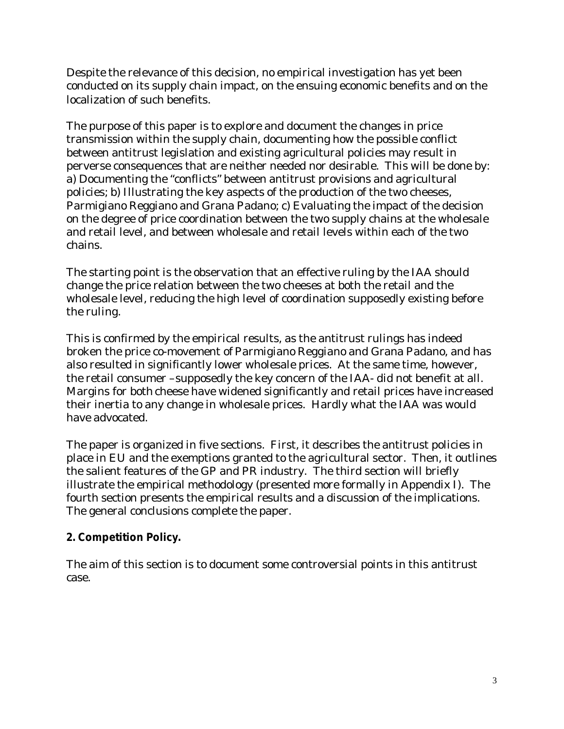Despite the relevance of this decision, no empirical investigation has yet been conducted on its supply chain impact, on the ensuing economic benefits and on the localization of such benefits.

The purpose of this paper is to explore and document the changes in price transmission within the supply chain, documenting how the possible conflict between antitrust legislation and existing agricultural policies may result in perverse consequences that are neither needed nor desirable. This will be done by: a) Documenting the "conflicts" between antitrust provisions and agricultural policies; b) Illustrating the key aspects of the production of the two cheeses, Parmigiano Reggiano and Grana Padano; c) Evaluating the impact of the decision on the degree of price coordination between the two supply chains at the wholesale and retail level, and between wholesale and retail levels within each of the two chains.

The starting point is the observation that an effective ruling by the IAA should change the price relation between the two cheeses at both the retail and the wholesale level, reducing the high level of coordination supposedly existing before the ruling.

This is confirmed by the empirical results, as the antitrust rulings has indeed broken the price co-movement of Parmigiano Reggiano and Grana Padano, and has also resulted in significantly lower wholesale prices. At the same time, however, the retail consumer –supposedly the key concern of the IAA- did not benefit at all. Margins for both cheese have widened significantly and retail prices have increased their inertia to any change in wholesale prices. Hardly what the IAA was would have advocated.

The paper is organized in five sections. First, it describes the antitrust policies in place in EU and the exemptions granted to the agricultural sector. Then, it outlines the salient features of the GP and PR industry. The third section will briefly illustrate the empirical methodology (presented more formally in Appendix I). The fourth section presents the empirical results and a discussion of the implications. The general conclusions complete the paper.

## **2. Competition Policy.**

The aim of this section is to document some controversial points in this antitrust case.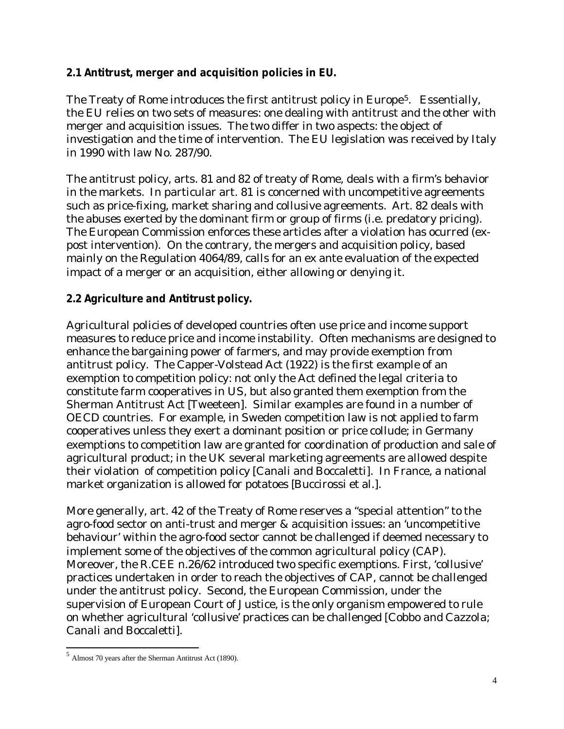### **2.1 Antitrust, merger and acquisition policies in EU.**

The Treaty of Rome introduces the first antitrust policy in Europe<sup>5</sup>. Essentially, the EU relies on two sets of measures: one dealing with antitrust and the other with merger and acquisition issues. The two differ in two aspects: the object of investigation and the time of intervention. The EU legislation was received by Italy in 1990 with law No. 287/90.

The antitrust policy, arts. 81 and 82 of treaty of Rome, deals with a firm's behavior in the markets. In particular art. 81 is concerned with uncompetitive agreements such as price-fixing, market sharing and collusive agreements. Art. 82 deals with the abuses exerted by the dominant firm or group of firms (i.e. predatory pricing). The European Commission enforces these articles after a violation has ocurred (expost intervention). On the contrary, the mergers and acquisition policy, based mainly on the Regulation 4064/89, calls for an ex ante evaluation of the expected impact of a merger or an acquisition, either allowing or denying it.

### **2.2 Agriculture and Antitrust policy.**

Agricultural policies of developed countries often use price and income support measures to reduce price and income instability. Often mechanisms are designed to enhance the bargaining power of farmers, and may provide exemption from antitrust policy. The Capper-Volstead Act (1922) is the first example of an exemption to competition policy: not only the Act defined the legal criteria to constitute farm cooperatives in US, but also granted them exemption from the Sherman Antitrust Act [Tweeteen]. Similar examples are found in a number of OECD countries. For example, in Sweden competition law is not applied to farm cooperatives unless they exert a dominant position or price collude; in Germany exemptions to competition law are granted for coordination of production and sale of agricultural product; in the UK several marketing agreements are allowed despite their violation of competition policy [Canali and Boccaletti]. In France, a national market organization is allowed for potatoes [Buccirossi et al.].

More generally, art. 42 of the Treaty of Rome reserves a "special attention" to the agro-food sector on anti-trust and merger & acquisition issues: an 'uncompetitive behaviour' within the agro-food sector cannot be challenged if deemed necessary to implement some of the objectives of the common agricultural policy (CAP). Moreover, the R.CEE n.26/62 introduced two specific exemptions. First, 'collusive' practices undertaken in order to reach the objectives of CAP, cannot be challenged under the antitrust policy. Second, the European Commission, under the supervision of European Court of Justice, is the only organism empowered to rule on whether agricultural 'collusive' practices can be challenged [Cobbo and Cazzola; Canali and Boccaletti].

<sup>5</sup> Almost 70 years after the Sherman Antitrust Act (1890).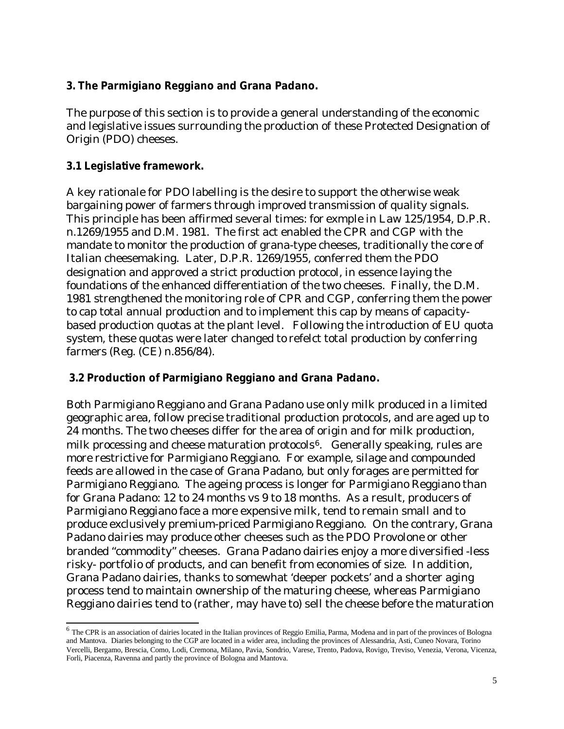### **3. The Parmigiano Reggiano and Grana Padano.**

The purpose of this section is to provide a general understanding of the economic and legislative issues surrounding the production of these Protected Designation of Origin (PDO) cheeses.

### **3.1 Legislative framework.**

A key rationale for PDO labelling is the desire to support the otherwise weak bargaining power of farmers through improved transmission of quality signals. This principle has been affirmed several times: for exmple in Law 125/1954, D.P.R. n.1269/1955 and D.M. 1981. The first act enabled the CPR and CGP with the mandate to monitor the production of grana-type cheeses, traditionally the core of Italian cheesemaking. Later, D.P.R. 1269/1955, conferred them the PDO designation and approved a strict production protocol, in essence laying the foundations of the enhanced differentiation of the two cheeses. Finally, the D.M. 1981 strengthened the monitoring role of CPR and CGP, conferring them the power to cap total annual production and to implement this cap by means of capacitybased production quotas at the plant level. Following the introduction of EU quota system, these quotas were later changed to refelct total production by conferring farmers (Reg. (CE) n.856/84).

### **3.2 Production of Parmigiano Reggiano and Grana Padano.**

Both Parmigiano Reggiano and Grana Padano use only milk produced in a limited geographic area, follow precise traditional production protocols, and are aged up to 24 months. The two cheeses differ for the area of origin and for milk production, milk processing and cheese maturation protocols $6$ . Generally speaking, rules are more restrictive for Parmigiano Reggiano. For example, silage and compounded feeds are allowed in the case of Grana Padano, but only forages are permitted for Parmigiano Reggiano. The ageing process is longer for Parmigiano Reggiano than for Grana Padano: 12 to 24 months vs 9 to 18 months. As a result, producers of Parmigiano Reggiano face a more expensive milk, tend to remain small and to produce exclusively premium-priced Parmigiano Reggiano. On the contrary, Grana Padano dairies may produce other cheeses such as the PDO Provolone or other branded "commodity" cheeses. Grana Padano dairies enjoy a more diversified -less risky- portfolio of products, and can benefit from economies of size. In addition, Grana Padano dairies, thanks to somewhat 'deeper pockets' and a shorter aging process tend to maintain ownership of the maturing cheese, whereas Parmigiano Reggiano dairies tend to (rather, may have to) sell the cheese before the maturation

<sup>&</sup>lt;sup>6</sup> The CPR is an association of dairies located in the Italian provinces of Reggio Emilia, Parma, Modena and in part of the provinces of Bologna and Mantova. Diaries belonging to the CGP are located in a wider area, including the provinces of Alessandria, Asti, Cuneo Novara, Torino Vercelli, Bergamo, Brescia, Como, Lodi, Cremona, Milano, Pavia, Sondrio, Varese, Trento, Padova, Rovigo, Treviso, Venezia, Verona, Vicenza, Forli, Piacenza, Ravenna and partly the province of Bologna and Mantova.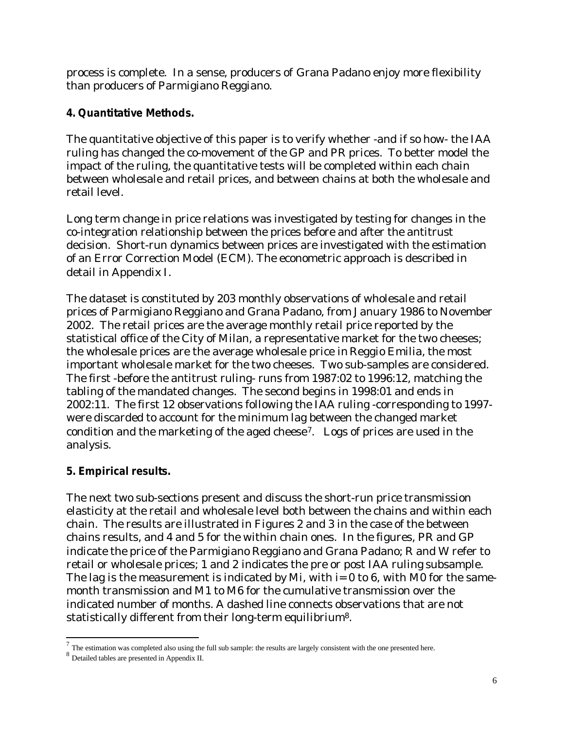process is complete. In a sense, producers of Grana Padano enjoy more flexibility than producers of Parmigiano Reggiano.

## **4. Quantitative Methods.**

The quantitative objective of this paper is to verify whether -and if so how- the IAA ruling has changed the co-movement of the GP and PR prices. To better model the impact of the ruling, the quantitative tests will be completed within each chain between wholesale and retail prices, and between chains at both the wholesale and retail level.

Long term change in price relations was investigated by testing for changes in the co-integration relationship between the prices before and after the antitrust decision. Short-run dynamics between prices are investigated with the estimation of an Error Correction Model (ECM). The econometric approach is described in detail in Appendix I.

The dataset is constituted by 203 monthly observations of wholesale and retail prices of Parmigiano Reggiano and Grana Padano, from January 1986 to November 2002. The retail prices are the average monthly retail price reported by the statistical office of the City of Milan, a representative market for the two cheeses; the wholesale prices are the average wholesale price in Reggio Emilia, the most important wholesale market for the two cheeses. Two sub-samples are considered. The first -before the antitrust ruling- runs from 1987:02 to 1996:12, matching the tabling of the mandated changes. The second begins in 1998:01 and ends in 2002:11. The first 12 observations following the IAA ruling -corresponding to 1997 were discarded to account for the minimum lag between the changed market condition and the marketing of the aged cheese7. Logs of prices are used in the analysis.

## **5. Empirical results.**

The next two sub-sections present and discuss the short-run price transmission elasticity at the retail and wholesale level both between the chains and within each chain. The results are illustrated in Figures 2 and 3 in the case of the between chains results, and 4 and 5 for the within chain ones. In the figures, PR and GP indicate the price of the Parmigiano Reggiano and Grana Padano; R and W refer to retail or wholesale prices; 1 and 2 indicates the pre or post IAA ruling subsample. The lag is the measurement is indicated by Mi, with  $i=0$  to 6, with M0 for the samemonth transmission and M1 to M6 for the cumulative transmission over the indicated number of months. A dashed line connects observations that are not statistically different from their long-term equilibrium8.

 $<sup>7</sup>$  The estimation was completed also using the full sub sample: the results are largely consistent with the one presented here.</sup>

<sup>8</sup> Detailed tables are presented in Appendix II.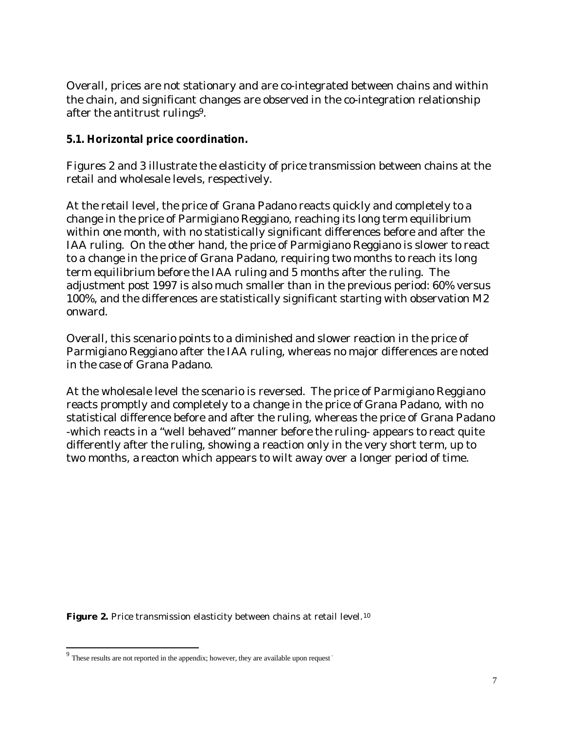Overall, prices are not stationary and are co-integrated between chains and within the chain, and significant changes are observed in the co-integration relationship after the antitrust rulings9.

### **5.1. Horizontal price coordination.**

Figures 2 and 3 illustrate the elasticity of price transmission between chains at the retail and wholesale levels, respectively.

At the retail level, the price of Grana Padano reacts quickly and completely to a change in the price of Parmigiano Reggiano, reaching its long term equilibrium within one month, with no statistically significant differences before and after the IAA ruling. On the other hand, the price of Parmigiano Reggiano is slower to react to a change in the price of Grana Padano, requiring two months to reach its long term equilibrium before the IAA ruling and 5 months after the ruling. The adjustment post 1997 is also much smaller than in the previous period: 60% versus 100%, and the differences are statistically significant starting with observation M2 onward.

Overall, this scenario points to a diminished and slower reaction in the price of Parmigiano Reggiano after the IAA ruling, whereas no major differences are noted in the case of Grana Padano.

At the wholesale level the scenario is reversed. The price of Parmigiano Reggiano reacts promptly and completely to a change in the price of Grana Padano, with no statistical difference before and after the ruling, whereas the price of Grana Padano -which reacts in a "well behaved" manner before the ruling- appears to react quite differently after the ruling, showing a reaction only in the very short term, up to two months, a reacton which appears to wilt away over a longer period of time.

Figure 2. Price transmission elasticity between chains at retail level.<sup>10</sup>

 $9$  These results are not reported in the appendix; however, they are available upon request  $\overline{\phantom{a}}$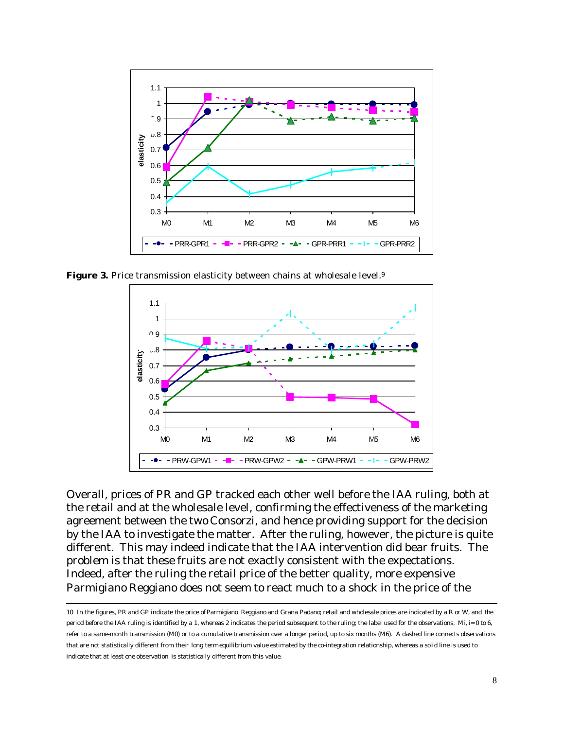

Figure 3. Price transmission elasticity between chains at wholesale level.<sup>9</sup>



Overall, prices of PR and GP tracked each other well before the IAA ruling, both at the retail and at the wholesale level, confirming the effectiveness of the marketing agreement between the two Consorzi, and hence providing support for the decision by the IAA to investigate the matter. After the ruling, however, the picture is quite different. This may indeed indicate that the IAA intervention did bear fruits. The problem is that these fruits are not exactly consistent with the expectations. Indeed, after the ruling the retail price of the better quality, more expensive Parmigiano Reggiano does not seem to react much to a shock in the price of the

<sup>10</sup> In the figures, PR and GP indicate the price of Parmigiano Reggiano and Grana Padano; retail and wholesale prices are indicated by a R or W, and the period before the IAA ruling is identified by a 1, whereas 2 indicates the period subsequent to the ruling; the label used for the observations, Mi, i= 0 to 6, refer to a same-month transmission (M0) or to a cumulative transmission over a longer period, up to six months (M6). A dashed line connects observations that are not statistically different from their long term equilibrium value estimated by the co-integration relationship, whereas a solid line is used to indicate that at least one observation is statistically different from this value.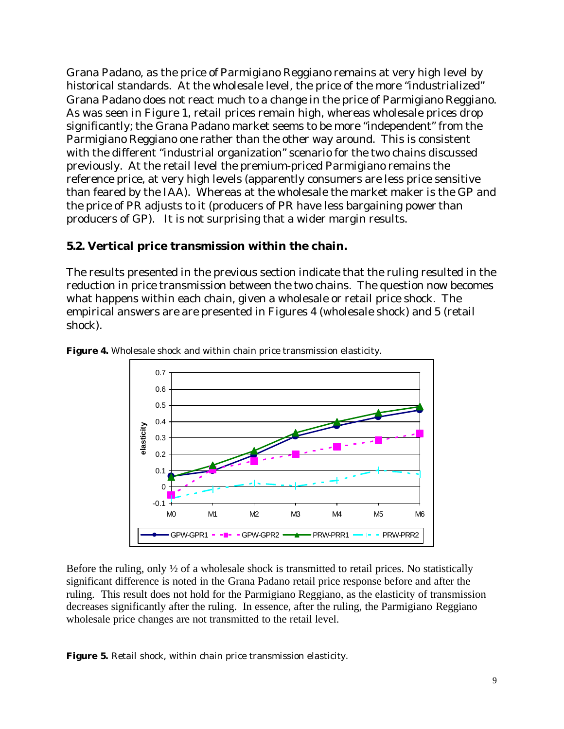Grana Padano, as the price of Parmigiano Reggiano remains at very high level by historical standards. At the wholesale level, the price of the more "industrialized" Grana Padano does not react much to a change in the price of Parmigiano Reggiano. As was seen in Figure 1, retail prices remain high, whereas wholesale prices drop significantly; the Grana Padano market seems to be more "independent" from the Parmigiano Reggiano one rather than the other way around. This is consistent with the different "industrial organization" scenario for the two chains discussed previously. At the retail level the premium-priced Parmigiano remains the reference price, at very high levels (apparently consumers are less price sensitive than feared by the IAA). Whereas at the wholesale the market maker is the GP and the price of PR adjusts to it (producers of PR have less bargaining power than producers of GP). It is not surprising that a wider margin results.

### **5.2. Vertical price transmission within the chain.**

The results presented in the previous section indicate that the ruling resulted in the reduction in price transmission between the two chains. The question now becomes what happens within each chain, given a wholesale or retail price shock. The empirical answers are are presented in Figures 4 (wholesale shock) and 5 (retail shock).

![](_page_8_Figure_3.jpeg)

**Figure 4.** Wholesale shock and within chain price transmission elasticity.

Before the ruling, only  $\frac{1}{2}$  of a wholesale shock is transmitted to retail prices. No statistically significant difference is noted in the Grana Padano retail price response before and after the ruling. This result does not hold for the Parmigiano Reggiano, as the elasticity of transmission decreases significantly after the ruling. In essence, after the ruling, the Parmigiano Reggiano wholesale price changes are not transmitted to the retail level.

**Figure 5.** Retail shock, within chain price transmission elasticity.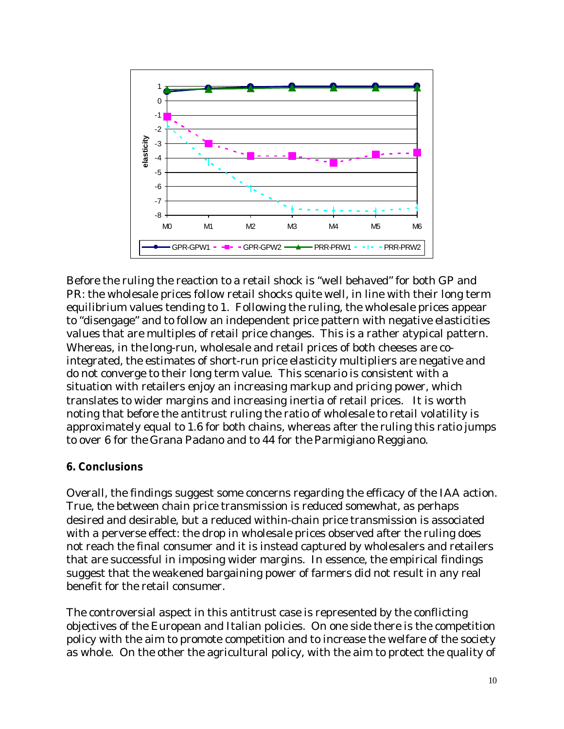![](_page_9_Figure_0.jpeg)

Before the ruling the reaction to a retail shock is "well behaved" for both GP and PR: the wholesale prices follow retail shocks quite well, in line with their long term equilibrium values tending to 1. Following the ruling, the wholesale prices appear to "disengage" and to follow an independent price pattern with negative elasticities values that are multiples of retail price changes. This is a rather atypical pattern. Whereas, in the long-run, wholesale and retail prices of both cheeses are cointegrated, the estimates of short-run price elasticity multipliers are negative and do not converge to their long term value. This scenario is consistent with a situation with retailers enjoy an increasing markup and pricing power, which translates to wider margins and increasing inertia of retail prices. It is worth noting that before the antitrust ruling the ratio of wholesale to retail volatility is approximately equal to 1.6 for both chains, whereas after the ruling this ratio jumps to over 6 for the Grana Padano and to 44 for the Parmigiano Reggiano.

#### **6. Conclusions**

Overall, the findings suggest some concerns regarding the efficacy of the IAA action. True, the between chain price transmission is reduced somewhat, as perhaps desired and desirable, but a reduced within-chain price transmission is associated with a perverse effect: the drop in wholesale prices observed after the ruling does not reach the final consumer and it is instead captured by wholesalers and retailers that are successful in imposing wider margins. In essence, the empirical findings suggest that the weakened bargaining power of farmers did not result in any real benefit for the retail consumer.

The controversial aspect in this antitrust case is represented by the conflicting objectives of the European and Italian policies. On one side there is the competition policy with the aim to promote competition and to increase the welfare of the society as whole. On the other the agricultural policy, with the aim to protect the quality of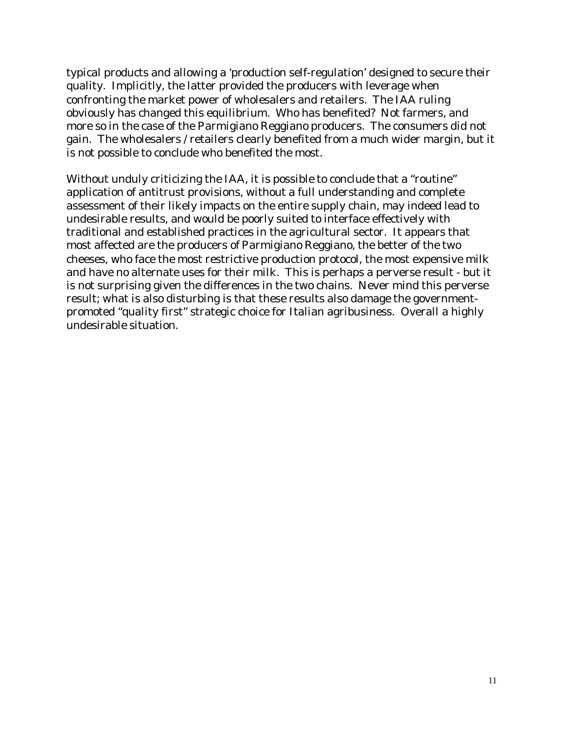typical products and allowing a 'production self-regulation' designed to secure their quality. Implicitly, the latter provided the producers with leverage when confronting the market power of wholesalers and retailers. The IAA ruling obviously has changed this equilibrium. Who has benefited? Not farmers, and more so in the case of the Parmigiano Reggiano producers. The consumers did not gain. The wholesalers / retailers clearly benefited from a much wider margin, but it is not possible to conclude who benefited the most.

Without unduly criticizing the IAA, it is possible to conclude that a "routine" application of antitrust provisions, without a full understanding and complete assessment of their likely impacts on the entire supply chain, may indeed lead to undesirable results, and would be poorly suited to interface effectively with traditional and established practices in the agricultural sector. It appears that most affected are the producers of Parmigiano Reggiano, the better of the two cheeses, who face the most restrictive production protocol, the most expensive milk and have no alternate uses for their milk. This is perhaps a perverse result - but it is not surprising given the differences in the two chains. Never mind this perverse result; what is also disturbing is that these results also damage the governmentpromoted "quality first" strategic choice for Italian agribusiness. Overall a highly undesirable situation.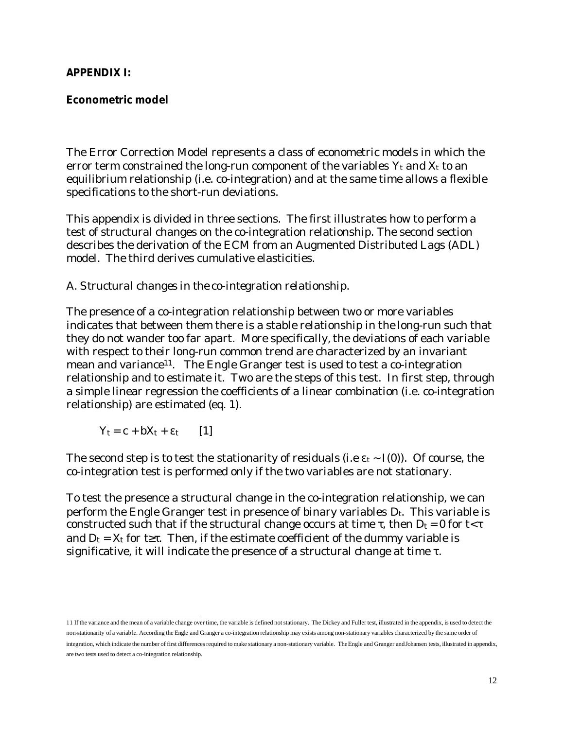#### **APPENDIX I:**

### **Econometric model**

The Error Correction Model represents a class of econometric models in which the error term constrained the long-run component of the variables  $Y_t$  and  $X_t$  to an equilibrium relationship (i.e. co-integration) and at the same time allows a flexible specifications to the short-run deviations.

This appendix is divided in three sections. The first illustrates how to perform a test of structural changes on the co-integration relationship. The second section describes the derivation of the ECM from an Augmented Distributed Lags (ADL) model. The third derives cumulative elasticities.

### *A. Structural changes in the co-integration relationship.*

The presence of a co-integration relationship between two or more variables indicates that between them there is a stable relationship in the long-run such that they do not wander too far apart. More specifically, the deviations of each variable with respect to their long-run common trend are characterized by an invariant mean and variance<sup>11</sup>. The Engle Granger test is used to test a co-integration relationship and to estimate it. Two are the steps of this test. In first step, through a simple linear regression the coefficients of a linear combination (i.e. co-integration relationship) are estimated (eq. 1).

 $Y_t = c + bX_t + \varepsilon_t$  [1]

The second step is to test the stationarity of residuals (i.e  $\varepsilon_t \sim I(0)$ ). Of course, the co-integration test is performed only if the two variables are not stationary.

To test the presence a structural change in the co-integration relationship, we can perform the Engle Granger test in presence of binary variables  $D_t$ . This variable is constructed such that if the structural change occurs at time  $\tau$ , then  $D_t = 0$  for  $t < \tau$ and  $D_t = X_t$  for t≥τ. Then, if the estimate coefficient of the dummy variable is significative, it will indicate the presence of a structural change at time  $\tau$ .

 11 If the variance and the mean of a variable change over time, the variable is defined not stationary. The Dickey and Fuller test, illustrated in the appendix, is used to detect the non-stationarity of a variable. According the Engle and Granger a co-integration relationship may exists among non-stationary variables characterized by the same order of integration, which indicate the number of first differences required to make stationary a non-stationary variable. The Engle and Granger and Johansen tests, illustrated in appendix, are two tests used to detect a co-integration relationship.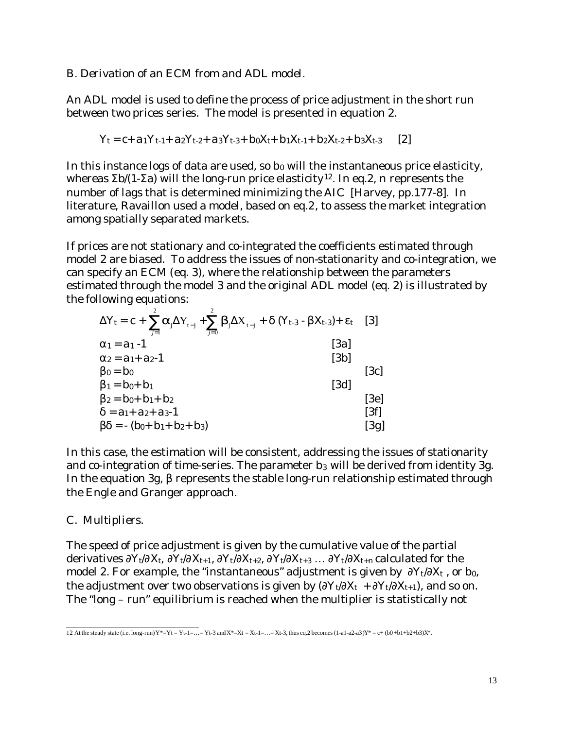#### *B. Derivation of an ECM from and ADL model.*

An ADL model is used to define the process of price adjustment in the short run between two prices series. The model is presented in equation 2.

$$
Y_t = c + a_1 Y_{t-1} + a_2 Y_{t-2} + a_3 Y_{t-3} + b_0 X_{t} + b_1 X_{t-1} + b_2 X_{t-2} + b_3 X_{t-3}
$$
 [2]

In this instance logs of data are used, so  $b_0$  will the instantaneous price elasticity, whereas Σb/(1-Σa) will the long-run price elasticity12. In eq.2, *n* represents the number of lags that is determined minimizing the AIC [Harvey, pp.177-8]. In literature, Ravaillon used a model, based on eq.2, to assess the market integration among spatially separated markets.

If prices are not stationary and co-integrated the coefficients estimated through model 2 are biased. To address the issues of non-stationarity and co-integration, we can specify an ECM (eq. 3), where the relationship between the parameters estimated through the model 3 and the original ADL model (eq. 2) is illustrated by the following equations:

| $\Delta Y_t = c + \sum a_i \Delta Y_{t-i} + \sum b_i \Delta X_{t-i} + \delta (Y_{t-3} - \beta X_{t-3}) + \varepsilon_t$ [3]<br>$i=1$<br>$i=0$ |      |
|-----------------------------------------------------------------------------------------------------------------------------------------------|------|
| [3a]<br>$\alpha_1 = a_1 - 1$                                                                                                                  |      |
| [3b]<br>$\alpha_2 = a_1 + a_2 - 1$                                                                                                            |      |
| $\beta_0 = b_0$                                                                                                                               | [3c] |
| $\beta_1 = b_0 + b_1$<br>[3d]                                                                                                                 |      |
| $\beta_2 = b_0 + b_1 + b_2$                                                                                                                   | [3e] |
| $\delta$ = a <sub>1</sub> + a <sub>2</sub> + a <sub>3</sub> -1                                                                                | [3f] |
| $\beta\delta$ = - (b <sub>0</sub> + b <sub>1</sub> + b <sub>2</sub> + b <sub>3</sub> )                                                        | [3g] |

In this case, the estimation will be consistent, addressing the issues of stationarity and co-integration of time-series. The parameter b<sub>3</sub> will be derived from identity 3g. In the equation 3g, β represents the stable long-run relationship estimated through the Engle and Granger approach.

### *C. Multipliers.*

The speed of price adjustment is given by the cumulative value of the partial derivatives  $\partial Y_t/\partial X_t$ ,  $\partial Y_t/\partial X_{t+1}$ ,  $\partial Y_t/\partial X_{t+2}$ ,  $\partial Y_t/\partial X_{t+3}$  ...  $\partial Y_t/\partial X_{t+n}$  calculated for the model 2. For example, the "instantaneous" adjustment is given by  $\partial Y_t/\partial X_t$ , or b<sub>0</sub>, the adjustment over two observations is given by  $(\partial Y_t/\partial X_t + \partial Y_t/\partial X_{t+1})$ , and so on. The "long – run" equilibrium is reached when the multiplier is statistically not

<sup>12</sup> At the steady state (i.e. long-run)  $Y^* = Yt - Yt - 1 = ...$   $Yt - 3$  and  $X^* = Xt - 1 = ... = Xt - 3$ , thus eq.2 becomes (1-a1-a2-a3) $Y^* = c + (b0 + b1 + b2 + b3)X^*$ .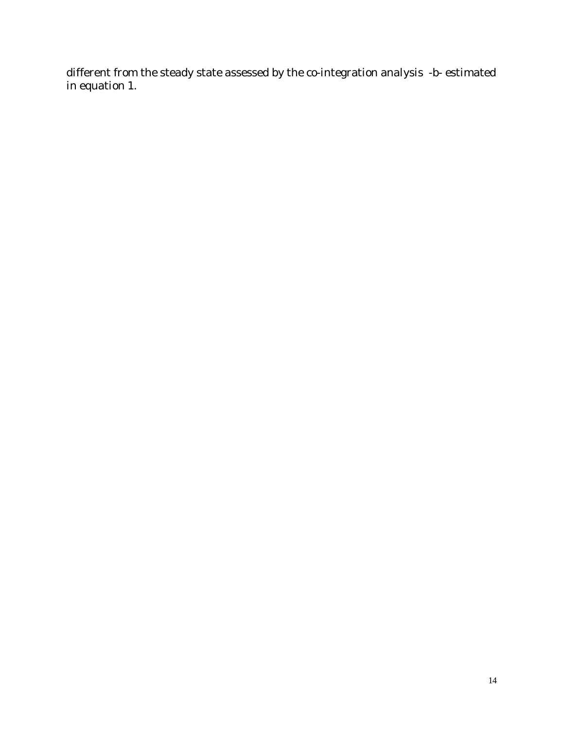different from the steady state assessed by the co-integration analysis -b- estimated in equation 1.